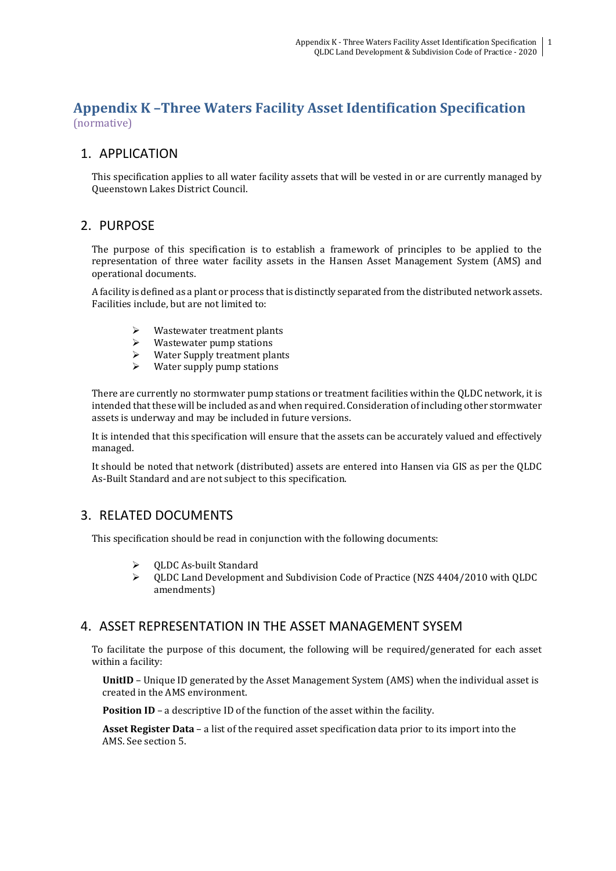# **Appendix K –Three Waters Facility Asset Identification Specification** (normative)

# 1. APPLICATION

This specification applies to all water facility assets that will be vested in or are currently managed by Queenstown Lakes District Council.

# 2. PURPOSE

The purpose of this specification is to establish a framework of principles to be applied to the representation of three water facility assets in the Hansen Asset Management System (AMS) and operational documents.

A facility is defined as a plant or process that is distinctly separated from the distributed network assets. Facilities include, but are not limited to:

- Wastewater treatment plants
- $\triangleright$  Wastewater pump stations
- $\triangleright$  Water Supply treatment plants
- Water supply pump stations

There are currently no stormwater pump stations or treatment facilities within the QLDC network, it is intended that these will be included as and when required. Consideration of including other stormwater assets is underway and may be included in future versions.

It is intended that this specification will ensure that the assets can be accurately valued and effectively managed.

It should be noted that network (distributed) assets are entered into Hansen via GIS as per the QLDC As-Built Standard and are not subject to this specification.

# 3. RELATED DOCUMENTS

This specification should be read in conjunction with the following documents:

- ➢ QLDC As-built Standard
- ➢ QLDC Land Development and Subdivision Code of Practice (NZS 4404/2010 with QLDC amendments)

## 4. ASSET REPRESENTATION IN THE ASSET MANAGEMENT SYSEM

To facilitate the purpose of this document, the following will be required/generated for each asset within a facility:

**UnitID** – Unique ID generated by the Asset Management System (AMS) when the individual asset is created in the AMS environment.

**Position ID** – a descriptive ID of the function of the asset within the facility.

**Asset Register Data** – a list of the required asset specification data prior to its import into the AMS. See section 5.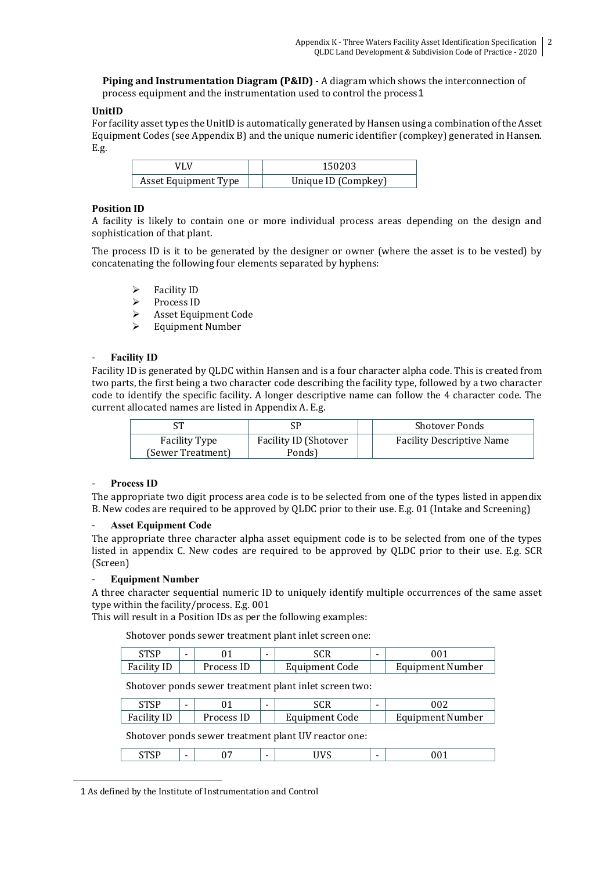**Piping and Instrumentation Diagram (P&ID)** - A diagram which shows the interconnection of process equipment and the instrumentation used to control the process1

### **UnitID**

For facility asset types the UnitID is automatically generated by Hansen using a combination of the Asset Equipment Codes (see Appendix B) and the unique numeric identifier (compkey) generated in Hansen. E.g.

| Asset Equipment Type | Unique ID (Compkey) |
|----------------------|---------------------|

#### **Position ID**

A facility is likely to contain one or more individual process areas depending on the design and sophistication of that plant.

The process ID is it to be generated by the designer or owner (where the asset is to be vested) by concatenating the following four elements separated by hyphens:

- ➢ Facility ID
- ➢ Process ID
- $\triangleright$  Asset Equipment Code
- ➢ Equipment Number

#### - **Facility ID**

Facility ID is generated by QLDC within Hansen and is a four character alpha code. This is created from two parts, the first being a two character code describing the facility type, followed by a two character code to identify the specific facility. A longer descriptive name can follow the 4 character code. The current allocated names are listed in Appendix A. E.g.

| rπ                   | SF                    | <b>Shotover Ponds</b>            |
|----------------------|-----------------------|----------------------------------|
| <b>Facility Type</b> | Facility ID (Shotover | <b>Facility Descriptive Name</b> |
| (Sewer Treatment)    | Ponds)                |                                  |

#### - **Process ID**

 $\overline{a}$ 

The appropriate two digit process area code is to be selected from one of the types listed in appendix B. New codes are required to be approved by QLDC prior to their use. E.g. 01 (Intake and Screening)

#### **Asset Equipment Code**

The appropriate three character alpha asset equipment code is to be selected from one of the types listed in appendix C. New codes are required to be approved by QLDC prior to their use. E.g. SCR (Screen)

#### - **Equipment Number**

A three character sequential numeric ID to uniquely identify multiple occurrences of the same asset type within the facility/process. E.g. 001

This will result in a Position IDs as per the following examples:

Shotover ponds sewer treatment plant inlet screen one:

| стср     | - |         | - | <b>SCR</b>     |  |                  |
|----------|---|---------|---|----------------|--|------------------|
| Facility |   | rocess' |   | Equipment Code |  | Equipment Number |

Shotover ponds sewer treatment plant inlet screen two:

| omor<br>1 J I | ົາ -    | - |                       |                  |
|---------------|---------|---|-----------------------|------------------|
| Facility      | rocess, |   | <b>Equipment Code</b> | Equipment Number |

Shotover ponds sewer treatment plant UV reactor one:

|--|--|

1 As defined by the Institute of Instrumentation and Control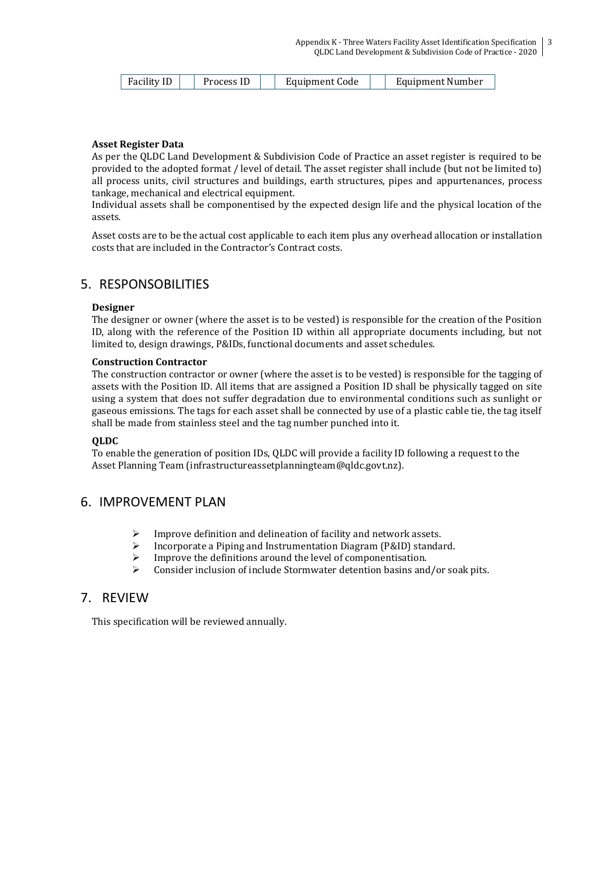| Facility ID | Process IL | Equipment Code | Equipment Number |
|-------------|------------|----------------|------------------|
|-------------|------------|----------------|------------------|

#### **Asset Register Data**

As per the QLDC Land Development & Subdivision Code of Practice an asset register is required to be provided to the adopted format / level of detail. The asset register shall include (but not be limited to) all process units, civil structures and buildings, earth structures, pipes and appurtenances, process tankage, mechanical and electrical equipment.

Individual assets shall be componentised by the expected design life and the physical location of the assets.

Asset costs are to be the actual cost applicable to each item plus any overhead allocation or installation costs that are included in the Contractor's Contract costs.

# 5. RESPONSOBILITIES

#### **Designer**

The designer or owner (where the asset is to be vested) is responsible for the creation of the Position ID, along with the reference of the Position ID within all appropriate documents including, but not limited to, design drawings, P&IDs, functional documents and asset schedules.

#### **Construction Contractor**

The construction contractor or owner (where the asset is to be vested) is responsible for the tagging of assets with the Position ID. All items that are assigned a Position ID shall be physically tagged on site using a system that does not suffer degradation due to environmental conditions such as sunlight or gaseous emissions. The tags for each asset shall be connected by use of a plastic cable tie, the tag itself shall be made from stainless steel and the tag number punched into it.

#### **QLDC**

To enable the generation of position IDs, QLDC will provide a facility ID following a request to the Asset Planning Team [\(infrastructureassetplanningteam@qldc.govt.nz\)](mailto:infrastructureassetplanningteam@qldc.govt.nz).

# 6. IMPROVEMENT PLAN

- ➢ Improve definition and delineation of facility and network assets.
- ➢ Incorporate a Piping and Instrumentation Diagram (P&ID) standard.
- Improve the definitions around the level of componentisation.
- ➢ Consider inclusion of include Stormwater detention basins and/or soak pits.

# 7. REVIEW

This specification will be reviewed annually.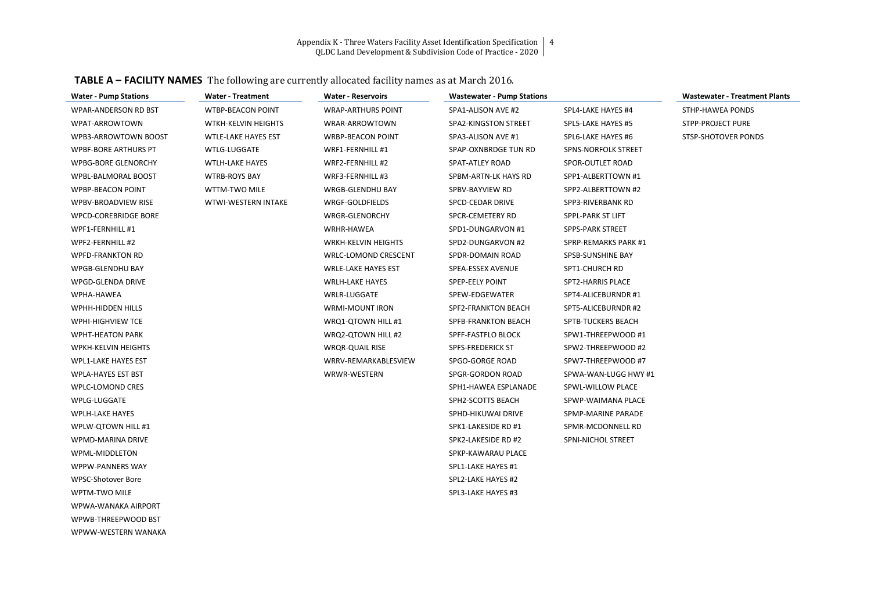Appendix K - Three Waters Facility Asset Identification Specification 4

QLDC Land Development & Subdivision Code of Practice - 2020

| <b>TABLE A – FACILITY NAMES</b> The following are currently allocated facility names as at March 2016. |
|--------------------------------------------------------------------------------------------------------|
|--------------------------------------------------------------------------------------------------------|

| <b>Water - Pump Stations</b> | <b>Water - Treatment</b>   | <b>Water - Reservoirs</b>  | <b>Wastewater - Pump Stations</b> |                           | <b>Wastewater - Treatment Plants</b> |
|------------------------------|----------------------------|----------------------------|-----------------------------------|---------------------------|--------------------------------------|
| WPAR-ANDERSON RD BST         | WTBP-BEACON POINT          | <b>WRAP-ARTHURS POINT</b>  | SPA1-ALISON AVE #2                | SPL4-LAKE HAYES #4        | STHP-HAWEA PONDS                     |
| WPAT-ARROWTOWN               | WTKH-KELVIN HEIGHTS        | WRAR-ARROWTOWN             | SPA2-KINGSTON STREET              | SPL5-LAKE HAYES #5        | STPP-PROJECT PURE                    |
| WPB3-ARROWTOWN BOOST         | <b>WTLE-LAKE HAYES EST</b> | <b>WRBP-BEACON POINT</b>   | SPA3-ALISON AVE #1                | SPL6-LAKE HAYES #6        | STSP-SHOTOVER PONDS                  |
| <b>WPBF-BORE ARTHURS PT</b>  | <b>WTLG-LUGGATE</b>        | WRF1-FERNHILL #1           | SPAP-OXNBRDGE TUN RD              | SPNS-NORFOLK STREET       |                                      |
| <b>WPBG-BORE GLENORCHY</b>   | <b>WTLH-LAKE HAYES</b>     | WRF2-FERNHILL #2           | SPAT-ATLEY ROAD                   | SPOR-OUTLET ROAD          |                                      |
| <b>WPBL-BALMORAL BOOST</b>   | <b>WTRB-ROYS BAY</b>       | WRF3-FERNHILL #3           | SPBM-ARTN-LK HAYS RD              | SPP1-ALBERTTOWN #1        |                                      |
| <b>WPBP-BEACON POINT</b>     | WTTM-TWO MILE              | WRGB-GLENDHU BAY           | SPBV-BAYVIEW RD                   | SPP2-ALBERTTOWN #2        |                                      |
| WPBV-BROADVIEW RISE          | <b>WTWI-WESTERN INTAKE</b> | WRGF-GOLDFIELDS            | SPCD-CEDAR DRIVE                  | SPP3-RIVERBANK RD         |                                      |
| WPCD-COREBRIDGE BORE         |                            | WRGR-GLENORCHY             | SPCR-CEMETERY RD                  | SPPL-PARK ST LIFT         |                                      |
| WPF1-FERNHILL #1             |                            | WRHR-HAWEA                 | SPD1-DUNGARVON #1                 | SPPS-PARK STREET          |                                      |
| WPF2-FERNHILL #2             |                            | WRKH-KELVIN HEIGHTS        | SPD2-DUNGARVON #2                 | SPRP-REMARKS PARK #1      |                                      |
| <b>WPFD-FRANKTON RD</b>      |                            | WRLC-LOMOND CRESCENT       | SPDR-DOMAIN ROAD                  | SPSB-SUNSHINE BAY         |                                      |
| <b>WPGB-GLENDHU BAY</b>      |                            | <b>WRLE-LAKE HAYES EST</b> | <b>SPEA-ESSEX AVENUE</b>          | SPT1-CHURCH RD            |                                      |
| WPGD-GLENDA DRIVE            |                            | <b>WRLH-LAKE HAYES</b>     | SPEP-EELY POINT                   | SPT2-HARRIS PLACE         |                                      |
| WPHA-HAWEA                   |                            | <b>WRLR-LUGGATE</b>        | SPEW-EDGEWATER                    | SPT4-ALICEBURNDR #1       |                                      |
| WPHH-HIDDEN HILLS            |                            | WRMI-MOUNT IRON            | SPF2-FRANKTON BEACH               | SPT5-ALICEBURNDR #2       |                                      |
| WPHI-HIGHVIEW TCE            |                            | WRQ1-QTOWN HILL #1         | SPFB-FRANKTON BEACH               | SPTB-TUCKERS BEACH        |                                      |
| <b>WPHT-HEATON PARK</b>      |                            | WRQ2-QTOWN HILL #2         | SPFF-FASTFLO BLOCK                | SPW1-THREEPWOOD #1        |                                      |
| WPKH-KELVIN HEIGHTS          |                            | <b>WRQR-QUAIL RISE</b>     | <b>SPFS-FREDERICK ST</b>          | SPW2-THREEPWOOD #2        |                                      |
| <b>WPL1-LAKE HAYES EST</b>   |                            | WRRV-REMARKABLESVIEW       | SPGO-GORGE ROAD                   | SPW7-THREEPWOOD #7        |                                      |
| <b>WPLA-HAYES EST BST</b>    |                            | WRWR-WESTERN               | SPGR-GORDON ROAD                  | SPWA-WAN-LUGG HWY #1      |                                      |
| <b>WPLC-LOMOND CRES</b>      |                            |                            | SPH1-HAWEA ESPLANADE              | SPWL-WILLOW PLACE         |                                      |
| WPLG-LUGGATE                 |                            |                            | SPH2-SCOTTS BEACH                 | SPWP-WAIMANA PLACE        |                                      |
| <b>WPLH-LAKE HAYES</b>       |                            |                            | SPHD-HIKUWAI DRIVE                | SPMP-MARINE PARADE        |                                      |
| WPLW-QTOWN HILL #1           |                            |                            | SPK1-LAKESIDE RD #1               | SPMR-MCDONNELL RD         |                                      |
| WPMD-MARINA DRIVE            |                            |                            | SPK2-LAKESIDE RD #2               | <b>SPNI-NICHOL STREET</b> |                                      |
| WPML-MIDDLETON               |                            |                            | SPKP-KAWARAU PLACE                |                           |                                      |
| WPPW-PANNERS WAY             |                            |                            | SPL1-LAKE HAYES #1                |                           |                                      |
| WPSC-Shotover Bore           |                            |                            | SPL2-LAKE HAYES #2                |                           |                                      |
| WPTM-TWO MILE                |                            |                            | SPL3-LAKE HAYES #3                |                           |                                      |
| WPWA-WANAKA AIRPORT          |                            |                            |                                   |                           |                                      |
| WPWB-THREEPWOOD BST          |                            |                            |                                   |                           |                                      |
| WPWW-WESTERN WANAKA          |                            |                            |                                   |                           |                                      |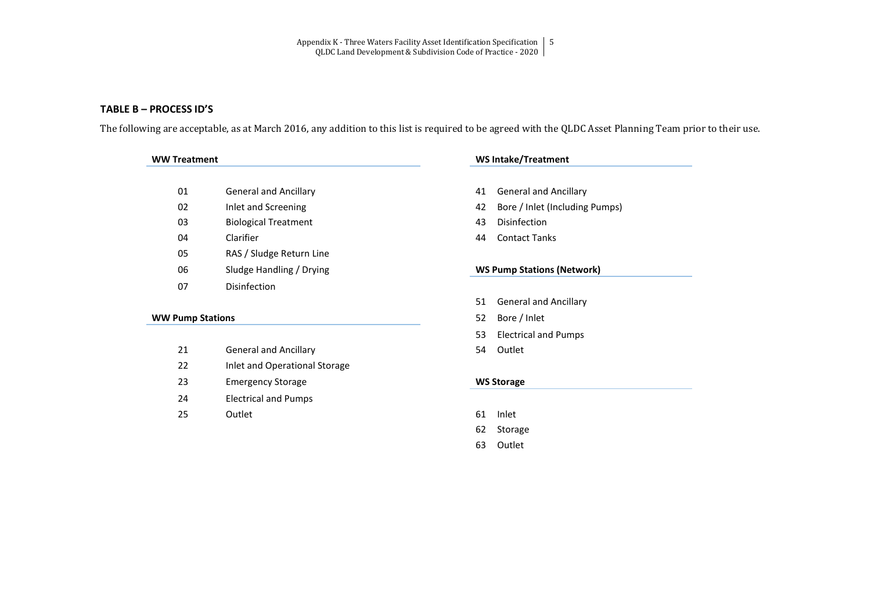Appendix K - Three Waters Facility Asset Identification Specification | 5 QLDC Land Development & Subdivision Code of Practice - 2020

### **TABLE B – PROCESS ID'S**

The following are acceptable, as at March 2016, any addition to this list is required to be agreed with the QLDC Asset Planning Team prior to their use.

| 01 | <b>General and Ancillary</b> |
|----|------------------------------|
| 02 | Inlet and Screening          |
| 03 | <b>Biological Treatment</b>  |
| 04 | Clarifier                    |
| 05 | RAS / Sludge Return Line     |
| 06 | Sludge Handling / Drying     |
|    | Disinfection                 |

#### **WW Treatment WS Intake/Treatment**

- 01 General and Ancillary 41 General and Ancillary
- 42 Bore / Inlet (Including Pumps)
- 43 Disinfection
- 44 Contact Tanks

#### **06 Sludge Handling WS Pump Stations (Network)**

### **WW Pump Stations** 52 Bore / Inlet

- 21 General and Ancillary **54** Outlet
- 22 Inlet and Operational Storage
- 23 Emergency Storage **WS Storage**
- 24 Electrical and Pumps
- 25 Outlet 61 Inlet

# 51 General and Ancillary

- 
- 53 Electrical and Pumps
- 

- 
- 62 Storage
- 63 Outlet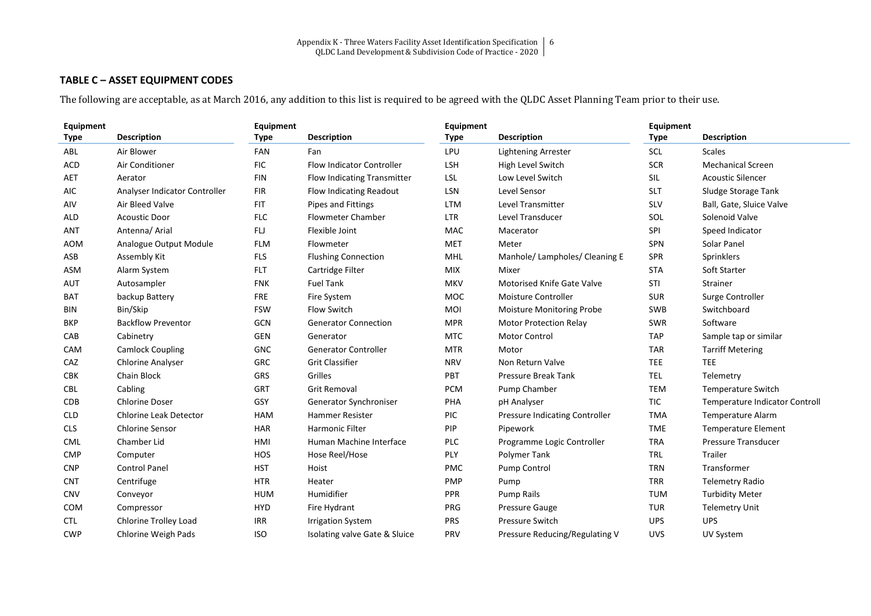## **TABLE C – ASSET EQUIPMENT CODES**

The following are acceptable, as at March 2016, any addition to this list is required to be agreed with the QLDC Asset Planning Team prior to their use.

| Equipment   |                               | Equipment   |                                  | Equipment   |                                       | Equipment   |                                       |
|-------------|-------------------------------|-------------|----------------------------------|-------------|---------------------------------------|-------------|---------------------------------------|
| <b>Type</b> | <b>Description</b>            | <b>Type</b> | <b>Description</b>               | <b>Type</b> | <b>Description</b>                    | <b>Type</b> | <b>Description</b>                    |
| ABL         | Air Blower                    | <b>FAN</b>  | Fan                              | LPU         | <b>Lightening Arrester</b>            | <b>SCL</b>  | <b>Scales</b>                         |
| <b>ACD</b>  | Air Conditioner               | <b>FIC</b>  | <b>Flow Indicator Controller</b> | <b>LSH</b>  | High Level Switch                     | <b>SCR</b>  | <b>Mechanical Screen</b>              |
| AET         | Aerator                       | <b>FIN</b>  | Flow Indicating Transmitter      | <b>LSL</b>  | Low Level Switch                      | SIL         | <b>Acoustic Silencer</b>              |
| <b>AIC</b>  | Analyser Indicator Controller | <b>FIR</b>  | Flow Indicating Readout          | LSN         | Level Sensor                          | <b>SLT</b>  | Sludge Storage Tank                   |
| AIV         | Air Bleed Valve               | <b>FIT</b>  | Pipes and Fittings               | <b>LTM</b>  | <b>Level Transmitter</b>              | <b>SLV</b>  | Ball, Gate, Sluice Valve              |
| <b>ALD</b>  | <b>Acoustic Door</b>          | <b>FLC</b>  | <b>Flowmeter Chamber</b>         | <b>LTR</b>  | Level Transducer                      | SOL         | Solenoid Valve                        |
| <b>ANT</b>  | Antenna/ Arial                | FLJ         | Flexible Joint                   | <b>MAC</b>  | Macerator                             | SPI         | Speed Indicator                       |
| <b>AOM</b>  | Analogue Output Module        | <b>FLM</b>  | Flowmeter                        | <b>MET</b>  | Meter                                 | SPN         | Solar Panel                           |
| ASB         | Assembly Kit                  | <b>FLS</b>  | <b>Flushing Connection</b>       | <b>MHL</b>  | Manhole/Lampholes/Cleaning E          | <b>SPR</b>  | Sprinklers                            |
| ASM         | Alarm System                  | <b>FLT</b>  | Cartridge Filter                 | <b>MIX</b>  | Mixer                                 | <b>STA</b>  | Soft Starter                          |
| <b>AUT</b>  | Autosampler                   | <b>FNK</b>  | <b>Fuel Tank</b>                 | <b>MKV</b>  | <b>Motorised Knife Gate Valve</b>     | STI         | Strainer                              |
| <b>BAT</b>  | backup Battery                | <b>FRE</b>  | Fire System                      | MOC         | Moisture Controller                   | <b>SUR</b>  | Surge Controller                      |
| <b>BIN</b>  | Bin/Skip                      | <b>FSW</b>  | <b>Flow Switch</b>               | MOI         | <b>Moisture Monitoring Probe</b>      | <b>SWB</b>  | Switchboard                           |
| <b>BKP</b>  | <b>Backflow Preventor</b>     | <b>GCN</b>  | <b>Generator Connection</b>      | <b>MPR</b>  | <b>Motor Protection Relay</b>         | SWR         | Software                              |
| CAB         | Cabinetry                     | <b>GEN</b>  | Generator                        | <b>MTC</b>  | <b>Motor Control</b>                  | <b>TAP</b>  | Sample tap or similar                 |
| CAM         | <b>Camlock Coupling</b>       | <b>GNC</b>  | <b>Generator Controller</b>      | <b>MTR</b>  | Motor                                 | <b>TAR</b>  | <b>Tarriff Metering</b>               |
| CAZ         | <b>Chlorine Analyser</b>      | <b>GRC</b>  | <b>Grit Classifier</b>           | <b>NRV</b>  | Non Return Valve                      | <b>TEE</b>  | <b>TEE</b>                            |
| <b>CBK</b>  | Chain Block                   | <b>GRS</b>  | Grilles                          | PBT         | <b>Pressure Break Tank</b>            | <b>TEL</b>  | Telemetry                             |
| <b>CBL</b>  | Cabling                       | <b>GRT</b>  | <b>Grit Removal</b>              | <b>PCM</b>  | Pump Chamber                          | <b>TEM</b>  | <b>Temperature Switch</b>             |
| <b>CDB</b>  | <b>Chlorine Doser</b>         | GSY         | Generator Synchroniser           | PHA         | pH Analyser                           | TIC         | <b>Temperature Indicator Controll</b> |
| <b>CLD</b>  | <b>Chlorine Leak Detector</b> | <b>HAM</b>  | <b>Hammer Resister</b>           | PIC         | <b>Pressure Indicating Controller</b> | <b>TMA</b>  | <b>Temperature Alarm</b>              |
| <b>CLS</b>  | <b>Chlorine Sensor</b>        | <b>HAR</b>  | Harmonic Filter                  | PIP         | Pipework                              | <b>TME</b>  | <b>Temperature Element</b>            |
| <b>CML</b>  | Chamber Lid                   | HMI         | Human Machine Interface          | PLC         | Programme Logic Controller            | <b>TRA</b>  | <b>Pressure Transducer</b>            |
| <b>CMP</b>  | Computer                      | HOS         | Hose Reel/Hose                   | PLY         | Polymer Tank                          | <b>TRL</b>  | Trailer                               |
| <b>CNP</b>  | <b>Control Panel</b>          | <b>HST</b>  | Hoist                            | PMC         | Pump Control                          | <b>TRN</b>  | Transformer                           |
| <b>CNT</b>  | Centrifuge                    | <b>HTR</b>  | Heater                           | <b>PMP</b>  | Pump                                  | <b>TRR</b>  | <b>Telemetry Radio</b>                |
| <b>CNV</b>  | Conveyor                      | <b>HUM</b>  | Humidifier                       | <b>PPR</b>  | Pump Rails                            | <b>TUM</b>  | <b>Turbidity Meter</b>                |
| <b>COM</b>  | Compressor                    | <b>HYD</b>  | Fire Hydrant                     | PRG         | <b>Pressure Gauge</b>                 | TUR         | <b>Telemetry Unit</b>                 |
| <b>CTL</b>  | Chlorine Trolley Load         | <b>IRR</b>  | <b>Irrigation System</b>         | <b>PRS</b>  | <b>Pressure Switch</b>                | <b>UPS</b>  | <b>UPS</b>                            |
| <b>CWP</b>  | Chlorine Weigh Pads           | <b>ISO</b>  | Isolating valve Gate & Sluice    | <b>PRV</b>  | Pressure Reducing/Regulating V        | <b>UVS</b>  | UV System                             |